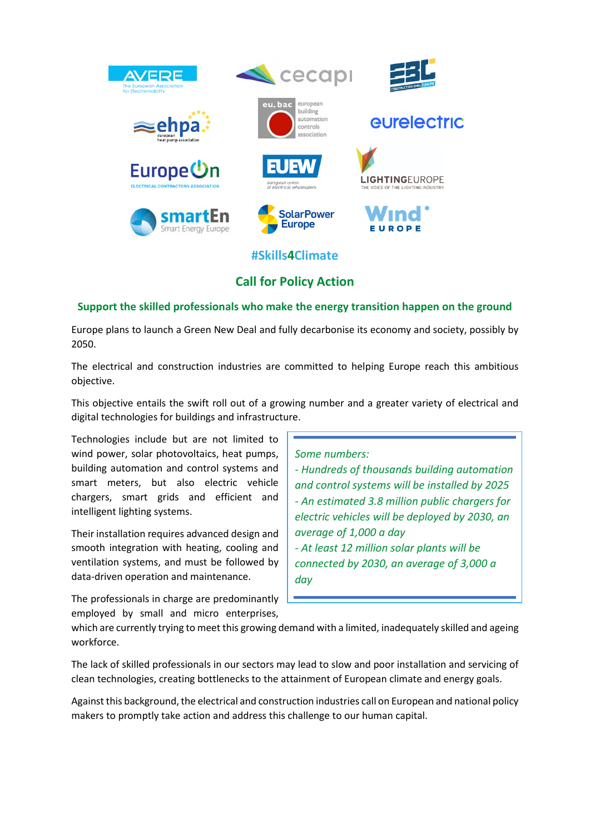

## **Call for Policy Action**

## **Support the skilled professionals who make the energy transition happen on the ground**

Europe plans to launch a Green New Deal and fully decarbonise its economy and society, possibly by 2050.

The electrical and construction industries are committed to helping Europe reach this ambitious objective.

This objective entails the swift roll out of a growing number and a greater variety of electrical and digital technologies for buildings and infrastructure.

Technologies include but are not limited to wind power, solar photovoltaics, heat pumps, building automation and control systems and smart meters, but also electric vehicle chargers, smart grids and efficient and intelligent lighting systems.

Their installation requires advanced design and smooth integration with heating, cooling and ventilation systems, and must be followed by data-driven operation and maintenance.

The professionals in charge are predominantly employed by small and micro enterprises, *Some numbers:*

*- Hundreds of thousands building automation and control systems will be installed by 2025 - An estimated 3.8 million public chargers for electric vehicles will be deployed by 2030, an average of 1,000 a day - At least 12 million solar plants will be connected by 2030, an average of 3,000 a day*

which are currently trying to meet this growing demand with a limited, inadequately skilled and ageing workforce.

The lack of skilled professionals in our sectors may lead to slow and poor installation and servicing of clean technologies, creating bottlenecks to the attainment of European climate and energy goals.

Against this background, the electrical and construction industries call on European and national policy makers to promptly take action and address this challenge to our human capital.